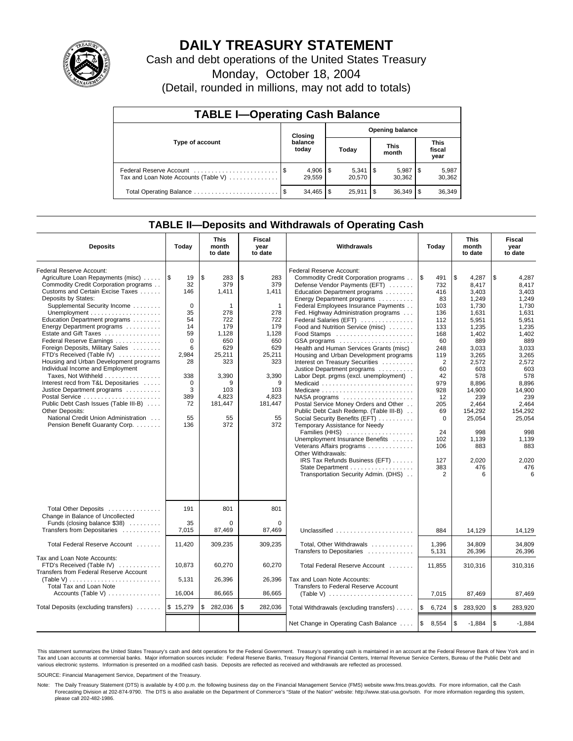

## **DAILY TREASURY STATEMENT**

Cash and debt operations of the United States Treasury

Monday, October 18, 2004

(Detail, rounded in millions, may not add to totals)

| <b>TABLE I-Operating Cash Balance</b> |         |                  |                        |        |    |                      |     |                               |  |
|---------------------------------------|---------|------------------|------------------------|--------|----|----------------------|-----|-------------------------------|--|
|                                       | Closing |                  | <b>Opening balance</b> |        |    |                      |     |                               |  |
| Type of account                       |         | balance<br>today |                        | Today  |    | <b>This</b><br>month |     | <b>This</b><br>fiscal<br>year |  |
| Tax and Loan Note Accounts (Table V)  |         | 29.559           |                        | 20,570 |    | 5,987<br>30.362      | 1\$ | 5,987<br>30,362               |  |
| Total Operating Balance               | - \$    | 34,465           | S                      | 25.911 | \$ | 36,349               |     | 36,349                        |  |

## **TABLE II—Deposits and Withdrawals of Operating Cash**

| <b>Deposits</b>                                                                                                                                                                                                                                                                                                                                                                                                                                                                                                                                                                                                                                                                                                                                                | Today                                                                                                                                              | <b>This</b><br>month<br>to date                                                                                                                   | Fiscal<br>year<br>to date                                                                                                                                    | <b>Withdrawals</b>                                                                                                                                                                                                                                                                                                                                                                                                                                                                                                                                                                                                                                                                                                                                                                                                                                                                                                                                                  |                                                                                                                                                                                                              | <b>This</b><br>month<br>to date                                                                                                                                                                                                         | Fiscal<br>year<br>to date                                                                                                                                                                                                               |
|----------------------------------------------------------------------------------------------------------------------------------------------------------------------------------------------------------------------------------------------------------------------------------------------------------------------------------------------------------------------------------------------------------------------------------------------------------------------------------------------------------------------------------------------------------------------------------------------------------------------------------------------------------------------------------------------------------------------------------------------------------------|----------------------------------------------------------------------------------------------------------------------------------------------------|---------------------------------------------------------------------------------------------------------------------------------------------------|--------------------------------------------------------------------------------------------------------------------------------------------------------------|---------------------------------------------------------------------------------------------------------------------------------------------------------------------------------------------------------------------------------------------------------------------------------------------------------------------------------------------------------------------------------------------------------------------------------------------------------------------------------------------------------------------------------------------------------------------------------------------------------------------------------------------------------------------------------------------------------------------------------------------------------------------------------------------------------------------------------------------------------------------------------------------------------------------------------------------------------------------|--------------------------------------------------------------------------------------------------------------------------------------------------------------------------------------------------------------|-----------------------------------------------------------------------------------------------------------------------------------------------------------------------------------------------------------------------------------------|-----------------------------------------------------------------------------------------------------------------------------------------------------------------------------------------------------------------------------------------|
| Federal Reserve Account:<br>Agriculture Loan Repayments (misc)<br>Commodity Credit Corporation programs<br>Customs and Certain Excise Taxes<br>Deposits by States:<br>Supplemental Security Income<br>Unemployment $\dots\dots\dots\dots\dots\dots\dots$<br>Education Department programs<br>Energy Department programs<br>Estate and Gift Taxes<br>Federal Reserve Earnings<br>Foreign Deposits, Military Sales<br>FTD's Received (Table IV)<br>Housing and Urban Development programs<br>Individual Income and Employment<br>Taxes, Not Withheld<br>Interest recd from T&L Depositaries<br>Justice Department programs<br>Public Debt Cash Issues (Table III-B)<br>Other Deposits:<br>National Credit Union Administration<br>Pension Benefit Guaranty Corp. | 1\$<br>19<br>32<br>146<br>$\mathbf 0$<br>35<br>54<br>14<br>59<br>$\Omega$<br>6<br>2,984<br>28<br>338<br>$\mathbf 0$<br>3<br>389<br>72<br>55<br>136 | \$<br>283<br>379<br>1,411<br>1<br>278<br>722<br>179<br>1.128<br>650<br>629<br>25,211<br>323<br>3,390<br>9<br>103<br>4,823<br>181,447<br>55<br>372 | \$<br>283<br>379<br>1.411<br>$\mathbf{1}$<br>278<br>722<br>179<br>1.128<br>650<br>629<br>25,211<br>323<br>3,390<br>9<br>103<br>4,823<br>181,447<br>55<br>372 | Federal Reserve Account:<br>Commodity Credit Corporation programs<br>Defense Vendor Payments (EFT)<br>Education Department programs<br>Energy Department programs<br>Federal Employees Insurance Payments<br>Fed. Highway Administration programs<br>Federal Salaries (EFT)<br>Food and Nutrition Service (misc)<br>GSA programs<br>Health and Human Services Grants (misc)<br>Housing and Urban Development programs<br>Interest on Treasury Securities<br>Justice Department programs<br>Labor Dept. prgms (excl. unemployment).<br>Medicaid<br>$NASA$ programs $\ldots \ldots \ldots \ldots \ldots$<br>Postal Service Money Orders and Other<br>Public Debt Cash Redemp. (Table III-B)<br>Social Security Benefits (EFT)<br>Temporary Assistance for Needy<br>Families (HHS)<br>Unemployment Insurance Benefits<br>Veterans Affairs programs<br>Other Withdrawals:<br>IRS Tax Refunds Business (EFT)<br>State Department<br>Transportation Security Admin. (DHS) | <b>S</b><br>491<br>732<br>416<br>83<br>103<br>136<br>112<br>133<br>168<br>60<br>248<br>119<br>$\overline{2}$<br>60<br>42<br>979<br>928<br>12<br>205<br>69<br>$\Omega$<br>24<br>102<br>106<br>127<br>383<br>2 | \$<br>4,287<br>8.417<br>3.403<br>1,249<br>1,730<br>1,631<br>5,951<br>1,235<br>1.402<br>889<br>3,033<br>3,265<br>2,572<br>603<br>578<br>8.896<br>14,900<br>239<br>2.464<br>154,292<br>25,054<br>998<br>1,139<br>883<br>2,020<br>476<br>6 | \$<br>4,287<br>8.417<br>3,403<br>1,249<br>1,730<br>1,631<br>5,951<br>1,235<br>1.402<br>889<br>3,033<br>3,265<br>2,572<br>603<br>578<br>8.896<br>14,900<br>239<br>2.464<br>154,292<br>25,054<br>998<br>1,139<br>883<br>2,020<br>476<br>6 |
| Total Other Deposits<br>Change in Balance of Uncollected<br>Funds (closing balance \$38)<br>Transfers from Depositaries                                                                                                                                                                                                                                                                                                                                                                                                                                                                                                                                                                                                                                        | 191<br>35<br>7.015                                                                                                                                 | 801<br>$\mathbf 0$<br>87,469                                                                                                                      | 801<br>$\Omega$<br>87.469                                                                                                                                    |                                                                                                                                                                                                                                                                                                                                                                                                                                                                                                                                                                                                                                                                                                                                                                                                                                                                                                                                                                     | 884                                                                                                                                                                                                          | 14.129                                                                                                                                                                                                                                  | 14.129                                                                                                                                                                                                                                  |
| Total Federal Reserve Account                                                                                                                                                                                                                                                                                                                                                                                                                                                                                                                                                                                                                                                                                                                                  | 11,420                                                                                                                                             | 309,235                                                                                                                                           | 309,235                                                                                                                                                      | Total, Other Withdrawals                                                                                                                                                                                                                                                                                                                                                                                                                                                                                                                                                                                                                                                                                                                                                                                                                                                                                                                                            | 1,396                                                                                                                                                                                                        | 34,809                                                                                                                                                                                                                                  | 34,809                                                                                                                                                                                                                                  |
| Tax and Loan Note Accounts:<br>FTD's Received (Table IV)<br>Transfers from Federal Reserve Account<br>(Table V)<br><b>Total Tax and Loan Note</b>                                                                                                                                                                                                                                                                                                                                                                                                                                                                                                                                                                                                              | 10,873<br>5,131                                                                                                                                    | 60,270<br>26,396                                                                                                                                  | 60,270<br>26,396                                                                                                                                             | Transfers to Depositaries<br>Total Federal Reserve Account<br>Tax and Loan Note Accounts:<br>Transfers to Federal Reserve Account                                                                                                                                                                                                                                                                                                                                                                                                                                                                                                                                                                                                                                                                                                                                                                                                                                   | 5,131<br>11,855                                                                                                                                                                                              | 26,396<br>310,316                                                                                                                                                                                                                       | 26,396<br>310,316                                                                                                                                                                                                                       |
| Accounts (Table V)                                                                                                                                                                                                                                                                                                                                                                                                                                                                                                                                                                                                                                                                                                                                             | 16,004                                                                                                                                             | 86,665                                                                                                                                            | 86,665                                                                                                                                                       | (Table V) $\ldots \ldots \ldots \ldots \ldots \ldots \ldots$                                                                                                                                                                                                                                                                                                                                                                                                                                                                                                                                                                                                                                                                                                                                                                                                                                                                                                        | 7,015                                                                                                                                                                                                        | 87,469                                                                                                                                                                                                                                  | 87,469                                                                                                                                                                                                                                  |
| Total Deposits (excluding transfers)                                                                                                                                                                                                                                                                                                                                                                                                                                                                                                                                                                                                                                                                                                                           | \$15,279                                                                                                                                           | 282,036<br>\$                                                                                                                                     | \$<br>282,036                                                                                                                                                | Total Withdrawals (excluding transfers)                                                                                                                                                                                                                                                                                                                                                                                                                                                                                                                                                                                                                                                                                                                                                                                                                                                                                                                             | ۱\$<br>6,724                                                                                                                                                                                                 | \$<br>283,920                                                                                                                                                                                                                           | \$<br>283,920                                                                                                                                                                                                                           |
|                                                                                                                                                                                                                                                                                                                                                                                                                                                                                                                                                                                                                                                                                                                                                                |                                                                                                                                                    |                                                                                                                                                   |                                                                                                                                                              | Net Change in Operating Cash Balance                                                                                                                                                                                                                                                                                                                                                                                                                                                                                                                                                                                                                                                                                                                                                                                                                                                                                                                                | l\$<br>8,554                                                                                                                                                                                                 | \$<br>$-1,884$                                                                                                                                                                                                                          | l \$<br>$-1,884$                                                                                                                                                                                                                        |

This statement summarizes the United States Treasury's cash and debt operations for the Federal Government. Treasury's operating cash is maintained in an account at the Federal Reserve Bank of New York and in Tax and Loan accounts at commercial banks. Major information sources include: Federal Reserve Banks, Treasury Regional Financial Centers, Internal Revenue Service Centers, Bureau of the Public Debt and<br>various electronic s

SOURCE: Financial Management Service, Department of the Treasury.

Note: The Daily Treasury Statement (DTS) is available by 4:00 p.m. the following business day on the Financial Management Service (FMS) website www.fms.treas.gov/dts. For more information, call the Cash Forecasting Division at 202-874-9790. The DTS is also available on the Department of Commerce's "State of the Nation" website: http://www.stat-usa.gov/sotn. For more information regarding this system, please call 202-482-1986.